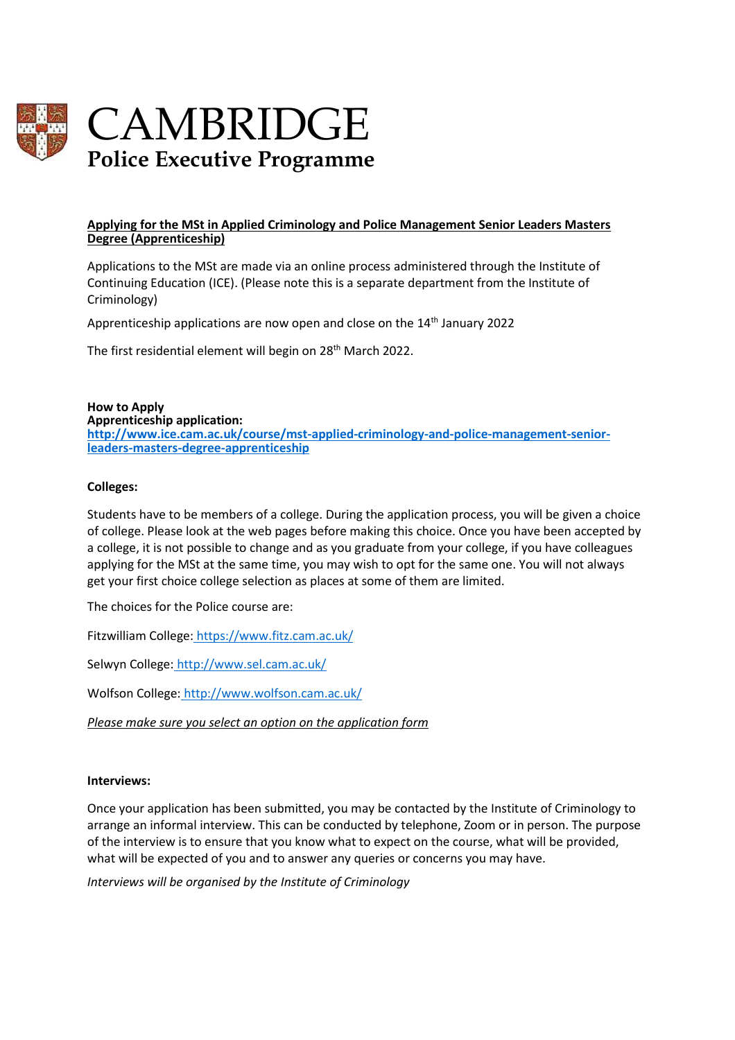

# CAMBRIDGE **Police Executive Programme**

### **Applying for the MSt in Applied Criminology and Police Management Senior Leaders Masters Degree (Apprenticeship)**

Applications to the MSt are made via an online process administered through the Institute of Continuing Education (ICE). (Please note this is a separate department from the Institute of Criminology)

Apprenticeship applications are now open and close on the 14<sup>th</sup> January 2022

The first residential element will begin on 28<sup>th</sup> March 2022.

**How to Apply**

**Apprenticeship application:**

**[http://www.ice.cam.ac.uk/course/mst-applied-criminology-and-police-management-senior](http://www.ice.cam.ac.uk/course/mst-applied-criminology-and-police-management-senior-leaders-masters-degree-apprenticeship)[leaders-masters-degree-apprenticeship](http://www.ice.cam.ac.uk/course/mst-applied-criminology-and-police-management-senior-leaders-masters-degree-apprenticeship)**

### **Colleges:**

Students have to be members of a college. During the application process, you will be given a choice of college. Please look at the web pages before making this choice. Once you have been accepted by a college, it is not possible to change and as you graduate from your college, if you have colleagues applying for the MSt at the same time, you may wish to opt for the same one. You will not always get your first choice college selection as places at some of them are limited.

The choices for the Police course are:

Fitzwilliam College: <https://www.fitz.cam.ac.uk/>

Selwyn College: <http://www.sel.cam.ac.uk/>

Wolfson College: <http://www.wolfson.cam.ac.uk/>

*Please make sure you select an option on the application form*

#### **Interviews:**

Once your application has been submitted, you may be contacted by the Institute of Criminology to arrange an informal interview. This can be conducted by telephone, Zoom or in person. The purpose of the interview is to ensure that you know what to expect on the course, what will be provided, what will be expected of you and to answer any queries or concerns you may have.

*Interviews will be organised by the Institute of Criminology*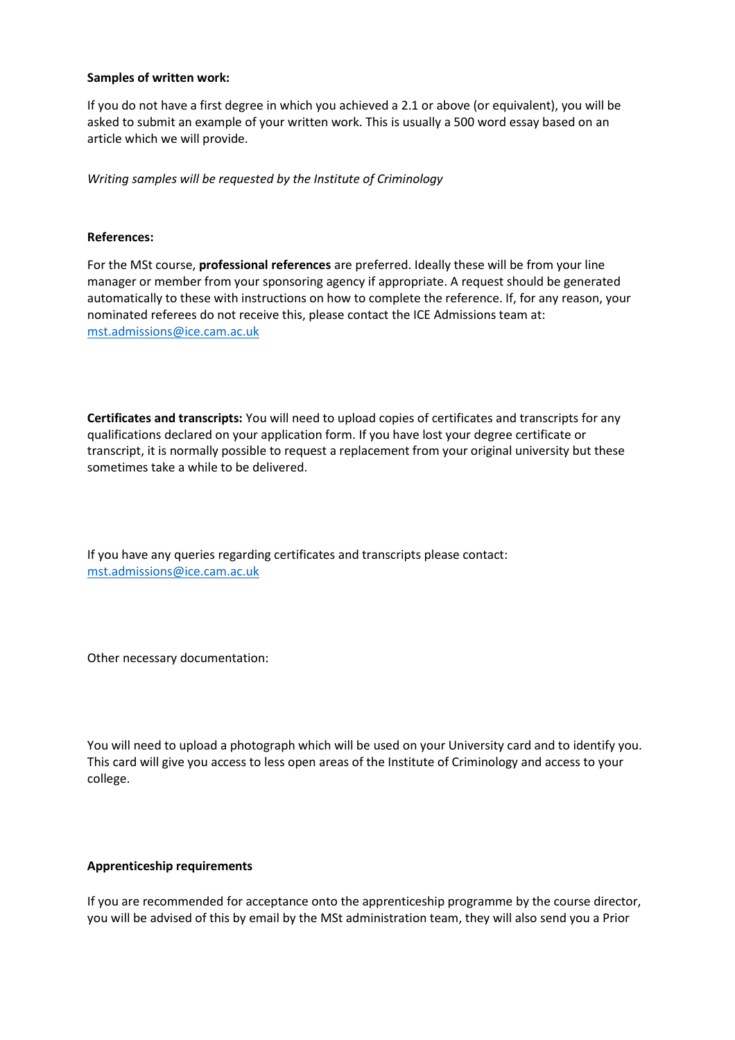### **Samples of written work:**

If you do not have a first degree in which you achieved a 2.1 or above (or equivalent), you will be asked to submit an example of your written work. This is usually a 500 word essay based on an article which we will provide.

*Writing samples will be requested by the Institute of Criminology*

### **References:**

For the MSt course, **professional references** are preferred. Ideally these will be from your line manager or member from your sponsoring agency if appropriate. A request should be generated automatically to these with instructions on how to complete the reference. If, for any reason, your nominated referees do not receive this, please contact the ICE Admissions team at: [mst.admissions@ice.cam.ac.uk](mailto:mst.admissions@ice.cam.ac.uk)

**Certificates and transcripts:** You will need to upload copies of certificates and transcripts for any qualifications declared on your application form. If you have lost your degree certificate or transcript, it is normally possible to request a replacement from your original university but these sometimes take a while to be delivered.

If you have any queries regarding certificates and transcripts please contact: [mst.admissions@ice.cam.ac.uk](mailto:mst.admissions@ice.cam.ac.uk)

Other necessary documentation:

You will need to upload a photograph which will be used on your University card and to identify you. This card will give you access to less open areas of the Institute of Criminology and access to your college.

#### **Apprenticeship requirements**

If you are recommended for acceptance onto the apprenticeship programme by the course director, you will be advised of this by email by the MSt administration team, they will also send you a Prior